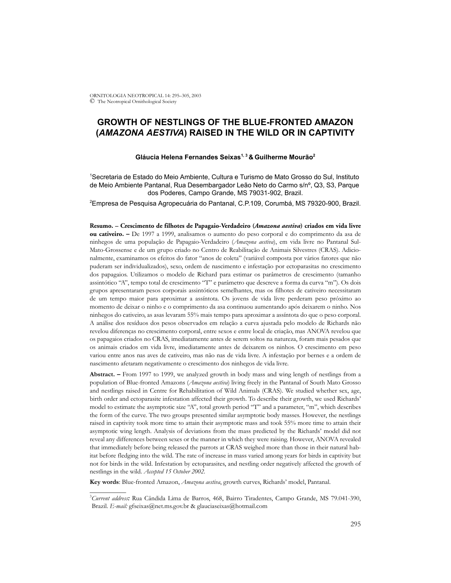# **GROWTH OF NESTLINGS OF THE BLUE-FRONTED AMAZON (***AMAZONA AESTIVA***) RAISED IN THE WILD OR IN CAPTIVITY**

# **Gláucia Helena Fernandes Seixas1, 3 & Guilherme Mourão2**

1 Secretaria de Estado do Meio Ambiente, Cultura e Turismo de Mato Grosso do Sul, Instituto de Meio Ambiente Pantanal, Rua Desembargador Leão Neto do Carmo s/nº, Q3, S3, Parque dos Poderes, Campo Grande, MS 79031-902, Brazil.

2 Empresa de Pesquisa Agropecuária do Pantanal, C.P.109, Corumbá, MS 79320-900, Brazil.

**Resumo. – Crescimento de filhotes de Papagaio-Verdadeiro (***Amazona aestiva***) criados em vida livre ou cativeiro. –** De 1997 a 1999, analisamos o aumento do peso corporal e do comprimento da asa de ninhegos de uma população de Papagaio-Verdadeiro (*Amazona aestiva*), em vida livre no Pantanal Sul-Mato-Grossense e de um grupo criado no Centro de Reabilitação de Animais Silvestres (CRAS). Adicionalmente, examinamos os efeitos do fator "anos de coleta" (variável composta por vários fatores que não puderam ser individualizados), sexo, ordem de nascimento e infestação por ectoparasitas no crescimento dos papagaios. Utilizamos o modelo de Richard para estimar os parâmetros de crescimento (tamanho assintótico "A", tempo total de crescimento "T" e parâmetro que descreve a forma da curva "m"). Os dois grupos apresentaram pesos corporais assintóticos semelhantes, mas os filhotes de cativeiro necessitaram de um tempo maior para aproximar a assíntota. Os jovens de vida livre perderam peso próximo ao momento de deixar o ninho e o comprimento da asa continuou aumentando após deixarem o ninho. Nos ninhegos do cativeiro, as asas levaram 55% mais tempo para aproximar a assíntota do que o peso corporal. A análise dos resíduos dos pesos observados em relação a curva ajustada pelo modelo de Richards não revelou diferenças no crescimento corporal, entre sexos e entre local de criação, mas ANOVA revelou que os papagaios criados no CRAS, imediatamente antes de serem soltos na natureza, foram mais pesados que os animais criados em vida livre, imediatamente antes de deixarem os ninhos. O crescimento em peso variou entre anos nas aves de cativeiro, mas não nas de vida livre. A infestação por bernes e a ordem de nascimento afetaram negativamente o crescimento dos ninhegos de vida livre.

**Abstract. –** From 1997 to 1999, we analyzed growth in body mass and wing length of nestlings from a population of Blue-fronted Amazons (*Amazona aestiva*) living freely in the Pantanal of South Mato Grosso and nestlings raised in Centre for Rehabilitation of Wild Animals (CRAS). We studied whether sex, age, birth order and ectoparasite infestation affected their growth. To describe their growth, we used Richards' model to estimate the asymptotic size "A", total growth period "T" and a parameter, "m", which describes the form of the curve. The two groups presented similar asymptotic body masses. However, the nestlings raised in captivity took more time to attain their asymptotic mass and took 55% more time to attain their asymptotic wing length. Analysis of deviations from the mass predicted by the Richards' model did not reveal any differences between sexes or the manner in which they were raising. However, ANOVA revealed that immediately before being released the parrots at CRAS weighed more than those in their natural habitat before fledging into the wild. The rate of increase in mass varied among years for birds in captivity but not for birds in the wild. Infestation by ectoparasites, and nestling order negatively affected the growth of nestlings in the wild. *Accepted 15 October 2002.*

**Key words**: Blue-fronted Amazon, *Amazona aestiva*, growth curves, Richards' model, Pantanal.

\_\_\_\_\_\_\_\_\_\_\_

<sup>3</sup> *Current address:* Rua Cândida Lima de Barros, 468, Bairro Tiradentes, Campo Grande, MS 79.041-390, Brazil. *E-mail:* gfseixas@net.ms.gov.br & glauciaseixas@hotmail.com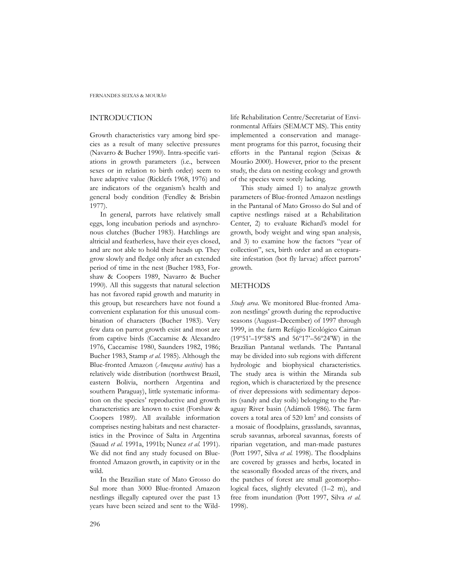FERNANDES SEIXAS & MOURÃ0

# INTRODUCTION

Growth characteristics vary among bird species as a result of many selective pressures (Navarro & Bucher 1990). Intra-specific variations in growth parameters (i.e., between sexes or in relation to birth order) seem to have adaptive value (Ricklefs 1968, 1976) and are indicators of the organism's health and general body condition (Fendley & Brisbin 1977).

In general, parrots have relatively small eggs, long incubation periods and asynchronous clutches (Bucher 1983). Hatchlings are altricial and featherless, have their eyes closed, and are not able to hold their heads up. They grow slowly and fledge only after an extended period of time in the nest (Bucher 1983, Forshaw & Coopers 1989, Navarro & Bucher 1990). All this suggests that natural selection has not favored rapid growth and maturity in this group, but researchers have not found a convenient explanation for this unusual combination of characters (Bucher 1983). Very few data on parrot growth exist and most are from captive birds (Caccamise & Alexandro 1976, Caccamise 1980, Saunders 1982, 1986; Bucher 1983, Stamp *et al.* 1985). Although the Blue-fronted Amazon (*Amazona aestiva*) has a relatively wide distribution (northwest Brazil, eastern Bolivia, northern Argentina and southern Paraguay), little systematic information on the species' reproductive and growth characteristics are known to exist (Forshaw & Coopers 1989). All available information comprises nesting habitats and nest characteristics in the Province of Salta in Argentina (Sauad *et al.* 1991a, 1991b; Nunez *et al.* 1991). We did not find any study focused on Bluefronted Amazon growth, in captivity or in the wild.

In the Brazilian state of Mato Grosso do Sul more than 3000 Blue-fronted Amazon nestlings illegally captured over the past 13 years have been seized and sent to the Wildlife Rehabilitation Centre/Secretariat of Environmental Affairs (SEMACT MS). This entity implemented a conservation and management programs for this parrot, focusing their efforts in the Pantanal region (Seixas & Mourão 2000). However, prior to the present study, the data on nesting ecology and growth of the species were sorely lacking.

This study aimed 1) to analyze growth parameters of Blue-fronted Amazon nestlings in the Pantanal of Mato Grosso do Sul and of captive nestlings raised at a Rehabilitation Center, 2) to evaluate Richard's model for growth, body weight and wing span analysis, and 3) to examine how the factors "year of collection", sex, birth order and an ectoparasite infestation (bot fly larvae) affect parrots' growth.

### METHODS

*Study area*. We monitored Blue-fronted Amazon nestlings' growth during the reproductive seasons (August–December) of 1997 through 1999, in the farm Refúgio Ecológico Caiman (19º51'–19º58'S and 56º17'–56º24'W) in the Brazilian Pantanal wetlands. The Pantanal may be divided into sub regions with different hydrologic and biophysical characteristics. The study area is within the Miranda sub region, which is characterized by the presence of river depressions with sedimentary deposits (sandy and clay soils) belonging to the Paraguay River basin (Adámoli 1986). The farm covers a total area of  $520 \text{ km}^2$  and consists of a mosaic of floodplains, grasslands, savannas, scrub savannas, arboreal savannas, forests of riparian vegetation, and man-made pastures (Pott 1997, Silva *et al.* 1998). The floodplains are covered by grasses and herbs, located in the seasonally flooded areas of the rivers, and the patches of forest are small geomorphological faces, slightly elevated (1–2 m), and free from inundation (Pott 1997, Silva *et al.* 1998).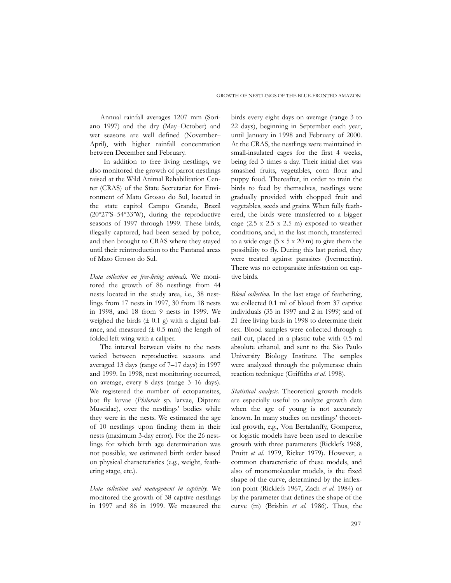Annual rainfall averages 1207 mm (Soriano 1997) and the dry (May–October) and wet seasons are well defined (November– April), with higher rainfall concentration between December and February.

 In addition to free living nestlings, we also monitored the growth of parrot nestlings raised at the Wild Animal Rehabilitation Center (CRAS) of the State Secretariat for Environment of Mato Grosso do Sul, located in the state capitol Campo Grande, Brazil (20º27'S–54º33'W), during the reproductive seasons of 1997 through 1999. These birds, illegally captured, had been seized by police, and then brought to CRAS where they stayed until their reintroduction to the Pantanal areas of Mato Grosso do Sul.

*Data collection on free-living animals.* We monitored the growth of 86 nestlings from 44 nests located in the study area, i.e., 38 nestlings from 17 nests in 1997, 30 from 18 nests in 1998, and 18 from 9 nests in 1999. We weighed the birds  $(\pm 0.1 \text{ g})$  with a digital balance, and measured  $(\pm 0.5 \text{ mm})$  the length of folded left wing with a caliper.

The interval between visits to the nests varied between reproductive seasons and averaged 13 days (range of 7–17 days) in 1997 and 1999. In 1998, nest monitoring occurred, on average, every 8 days (range 3–16 days). We registered the number of ectoparasites, bot fly larvae (*Philornis* sp. larvae, Diptera: Muscidae), over the nestlings' bodies while they were in the nests. We estimated the age of 10 nestlings upon finding them in their nests (maximum 3-day error). For the 26 nestlings for which birth age determination was not possible, we estimated birth order based on physical characteristics (e.g., weight, feathering stage, etc.).

*Data collection and management in captivity.* We monitored the growth of 38 captive nestlings in 1997 and 86 in 1999. We measured the birds every eight days on average (range 3 to 22 days), beginning in September each year, until January in 1998 and February of 2000. At the CRAS, the nestlings were maintained in small-insulated cages for the first 4 weeks, being fed 3 times a day. Their initial diet was smashed fruits, vegetables, corn flour and puppy food. Thereafter, in order to train the birds to feed by themselves, nestlings were gradually provided with chopped fruit and vegetables, seeds and grains. When fully feathered, the birds were transferred to a bigger cage (2.5 x 2.5 x 2.5 m) exposed to weather conditions, and, in the last month, transferred to a wide cage  $(5 \times 5 \times 20 \text{ m})$  to give them the possibility to fly. During this last period, they were treated against parasites (Ivermectin). There was no ectoparasite infestation on captive birds.

*Blood collection*. In the last stage of feathering, we collected 0.1 ml of blood from 37 captive individuals (35 in 1997 and 2 in 1999) and of 21 free living birds in 1998 to determine their sex. Blood samples were collected through a nail cut, placed in a plastic tube with 0.5 ml absolute ethanol, and sent to the São Paulo University Biology Institute. The samples were analyzed through the polymerase chain reaction technique (Griffiths *et al.* 1998).

*Statistical analysis.* Theoretical growth models are especially useful to analyze growth data when the age of young is not accurately known. In many studies on nestlings' theoretical growth, e.g., Von Bertalanffy, Gompertz, or logistic models have been used to describe growth with three parameters (Ricklefs 1968, Pruitt *et al.* 1979, Ricker 1979). However, a common characteristic of these models, and also of monomolecular models, is the fixed shape of the curve, determined by the inflexion point (Ricklefs 1967, Zach *et al.* 1984) or by the parameter that defines the shape of the curve (m) (Brisbin *et al.* 1986). Thus, the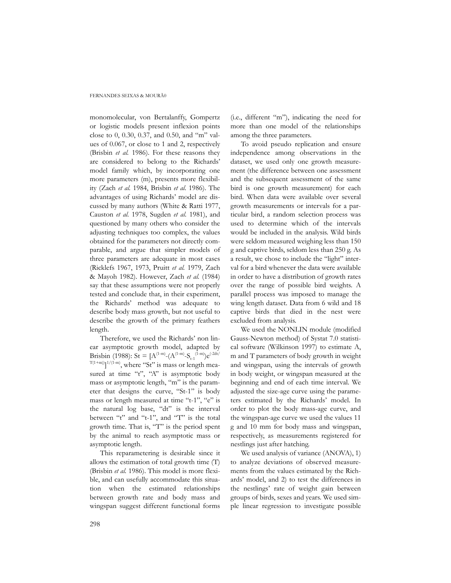#### FERNANDES SEIXAS & MOURÃ0

monomolecular, von Bertalanffy, Gompertz or logistic models present inflexion points close to 0, 0.30, 0.37, and 0.50, and "m" values of 0.067, or close to 1 and 2, respectively (Brisbin *et al.* 1986). For these reasons they are considered to belong to the Richards' model family which, by incorporating one more parameters (m), presents more flexibility (Zach *et al.* 1984, Brisbin *et al.* 1986). The advantages of using Richards' model are discussed by many authors (White & Ratti 1977, Causton *et al.* 1978, Sugden *et al.* 1981), and questioned by many others who consider the adjusting techniques too complex, the values obtained for the parameters not directly comparable, and argue that simpler models of three parameters are adequate in most cases (Ricklefs 1967, 1973, Pruitt *et al.* 1979, Zach & Mayoh 1982). However, Zach *et al.* (1984) say that these assumptions were not properly tested and conclude that, in their experiment, the Richards' method was adequate to describe body mass growth, but not useful to describe the growth of the primary feathers length.

Therefore, we used the Richards' non linear asymptotic growth model, adapted by Brisbin (1988): St = [A<sup>(1-m)</sup>-(A<sup>(1-m)</sup>-S<sub>t-1</sub><sup>(1-m)</sup>)e<sup>(-2dt/</sup>  $\sum_{(1+m)}$ ]<sup>1/(1-m</sup>), where "St" is mass or length measured at time "t", "A" is asymptotic body mass or asymptotic length, "m" is the parameter that designs the curve, "St-1" is body mass or length measured at time "t-1", "e" is the natural log base, "dt" is the interval between "t" and "t-1", and "T" is the total growth time. That is, "T" is the period spent by the animal to reach asymptotic mass or asymptotic length.

This reparametering is desirable since it allows the estimation of total growth time (T) (Brisbin *et al.* 1986). This model is more flexible, and can usefully accommodate this situation when the estimated relationships between growth rate and body mass and wingspan suggest different functional forms

(i.e., different "m"), indicating the need for more than one model of the relationships among the three parameters.

To avoid pseudo replication and ensure independence among observations in the dataset, we used only one growth measurement (the difference between one assessment and the subsequent assessment of the same bird is one growth measurement) for each bird. When data were available over several growth measurements or intervals for a particular bird, a random selection process was used to determine which of the intervals would be included in the analysis. Wild birds were seldom measured weighing less than 150 g and captive birds, seldom less than 250 g. As a result, we chose to include the "light" interval for a bird whenever the data were available in order to have a distribution of growth rates over the range of possible bird weights. A parallel process was imposed to manage the wing length dataset. Data from 6 wild and 18 captive birds that died in the nest were excluded from analysis.

We used the NONLIN module (modified Gauss-Newton method) of Systat 7.0 statistical software (Wilkinson 1997) to estimate A, m and T parameters of body growth in weight and wingspan, using the intervals of growth in body weight, or wingspan measured at the beginning and end of each time interval. We adjusted the size-age curve using the parameters estimated by the Richards' model. In order to plot the body mass-age curve, and the wingspan-age curve we used the values 11 g and 10 mm for body mass and wingspan, respectively, as measurements registered for nestlings just after hatching.

We used analysis of variance (ANOVA), 1) to analyze deviations of observed measurements from the values estimated by the Richards' model, and 2) to test the differences in the nestlings' rate of weight gain between groups of birds, sexes and years. We used simple linear regression to investigate possible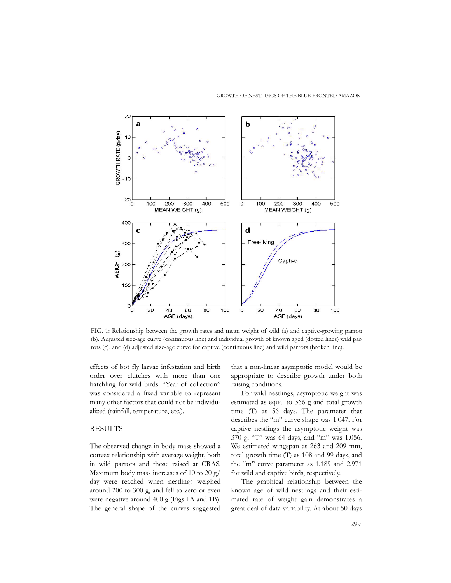

FIG. 1: Relationship between the growth rates and mean weight of wild (a) and captive-growing parrots (b). Adjusted size-age curve (continuous line) and individual growth of known aged (dotted lines) wild parrots (c), and (d) adjusted size-age curve for captive (continuous line) and wild parrots (broken line).

effects of bot fly larvae infestation and birth order over clutches with more than one hatchling for wild birds. "Year of collection" was considered a fixed variable to represent many other factors that could not be individualized (rainfall, temperature, etc.).

## **RESULTS**

The observed change in body mass showed a convex relationship with average weight, both in wild parrots and those raised at CRAS. Maximum body mass increases of 10 to 20 g/ day were reached when nestlings weighed around 200 to 300 g, and fell to zero or even were negative around 400 g (Figs 1A and 1B). The general shape of the curves suggested that a non-linear asymptotic model would be appropriate to describe growth under both raising conditions.

For wild nestlings, asymptotic weight was estimated as equal to 366 g and total growth time (T) as 56 days. The parameter that describes the "m" curve shape was 1.047. For captive nestlings the asymptotic weight was 370 g, "T" was 64 days, and "m" was 1.056. We estimated wingspan as 263 and 209 mm, total growth time (T) as 108 and 99 days, and the "m" curve parameter as 1.189 and 2.971 for wild and captive birds, respectively.

The graphical relationship between the known age of wild nestlings and their estimated rate of weight gain demonstrates a great deal of data variability. At about 50 days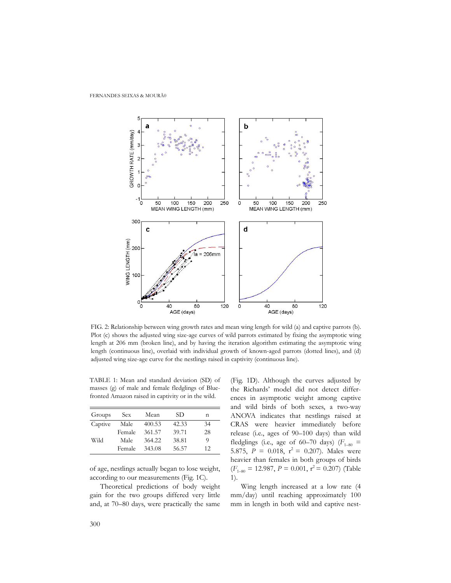

FIG. 2: Relationship between wing growth rates and mean wing length for wild (a) and captive parrots (b). Plot (c) shows the adjusted wing size-age curves of wild parrots estimated by fixing the asymptotic wing length at 206 mm (broken line), and by having the iteration algorithm estimating the asymptotic wing length (continuous line), overlaid with individual growth of known-aged parrots (dotted lines), and (d) adjusted wing size-age curve for the nestlings raised in captivity (continuous line).

TABLE 1: Mean and standard deviation (SD) of masses (g) of male and female fledglings of Bluefronted Amazon raised in captivity or in the wild.

| Groups  | Sex    | Mean   | SD    | n  |
|---------|--------|--------|-------|----|
| Captive | Male   | 400.53 | 42.33 | 34 |
| Wild    | Female | 361.57 | 39.71 | 28 |
|         | Male   | 364.22 | 38.81 | 9  |
|         | Female | 343.08 | 56.57 | 12 |

of age, nestlings actually began to lose weight, according to our measurements (Fig. 1C).

Theoretical predictions of body weight gain for the two groups differed very little and, at 70–80 days, were practically the same

(Fig. 1D). Although the curves adjusted by the Richards' model did not detect differences in asymptotic weight among captive and wild birds of both sexes, a two-way ANOVA indicates that nestlings raised at CRAS were heavier immediately before release (i.e., ages of 90–100 days) than wild fledglings (i.e., age of 60–70 days)  $(F<sub>1–80</sub>$  = 5.875,  $P = 0.018$ ,  $r^2 = 0.207$ ). Males were heavier than females in both groups of birds  $(F<sub>1-80</sub> = 12.987, P = 0.001, r<sup>2</sup> = 0.207)$  (Table 1).

Wing length increased at a low rate (4 mm/day) until reaching approximately 100 mm in length in both wild and captive nest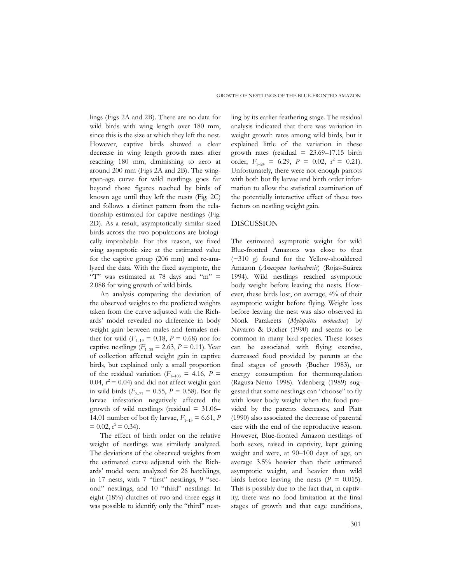lings (Figs 2A and 2B). There are no data for wild birds with wing length over 180 mm, since this is the size at which they left the nest. However, captive birds showed a clear decrease in wing length growth rates after reaching 180 mm, diminishing to zero at around 200 mm (Figs 2A and 2B). The wingspan-age curve for wild nestlings goes far beyond those figures reached by birds of known age until they left the nests (Fig. 2C) and follows a distinct pattern from the relationship estimated for captive nestlings (Fig. 2D). As a result, asymptotically similar sized birds across the two populations are biologically improbable. For this reason, we fixed wing asymptotic size at the estimated value for the captive group (206 mm) and re-analyzed the data. With the fixed asymptote, the "T" was estimated at 78 days and "m"  $=$ 2.088 for wing growth of wild birds.

An analysis comparing the deviation of the observed weights to the predicted weights taken from the curve adjusted with the Richards' model revealed no difference in body weight gain between males and females neither for wild  $(F_{1-19} = 0.18, P = 0.68)$  nor for captive nestlings ( $F_{1-35} = 2.63$ ,  $P = 0.11$ ). Year of collection affected weight gain in captive birds, but explained only a small proportion of the residual variation ( $F_{1-103} = 4.16$ ,  $P =$ 0.04,  $r^2$  = 0.04) and did not affect weight gain in wild birds ( $F_{2-77} = 0.55$ ,  $P = 0.58$ ). Bot fly larvae infestation negatively affected the growth of wild nestlings (residual  $= 31.06-$ 14.01 number of bot fly larvae,  $F_{1-13} = 6.61$ , *P*  $= 0.02$ ,  $r^2 = 0.34$ ).

The effect of birth order on the relative weight of nestlings was similarly analyzed. The deviations of the observed weights from the estimated curve adjusted with the Richards' model were analyzed for 26 hatchlings, in 17 nests, with 7 "first" nestlings, 9 "second" nestlings, and 10 "third" nestlings. In eight (18%) clutches of two and three eggs it was possible to identify only the "third" nestling by its earlier feathering stage. The residual analysis indicated that there was variation in weight growth rates among wild birds, but it explained little of the variation in these growth rates (residual  $= 23.69 - 17.15$  birth order,  $F_{1-24} = 6.29$ ,  $P = 0.02$ ,  $r^2 = 0.21$ . Unfortunately, there were not enough parrots with both bot fly larvae and birth order information to allow the statistical examination of the potentially interactive effect of these two factors on nestling weight gain.

### DISCUSSION

The estimated asymptotic weight for wild Blue-fronted Amazons was close to that (~310 g) found for the Yellow-shouldered Amazon (*Amazona barbadensis*) (Rojas-Suárez 1994). Wild nestlings reached asymptotic body weight before leaving the nests. However, these birds lost, on average, 4% of their asymptotic weight before flying. Weight loss before leaving the nest was also observed in Monk Parakeets (*Myiopsitta monachus*) by Navarro & Bucher (1990) and seems to be common in many bird species. These losses can be associated with flying exercise, decreased food provided by parents at the final stages of growth (Bucher 1983), or energy consumption for thermoregulation (Ragusa-Netto 1998). Ydenberg (1989) suggested that some nestlings can "choose" to fly with lower body weight when the food provided by the parents decreases, and Piatt (1990) also associated the decrease of parental care with the end of the reproductive season. However, Blue-fronted Amazon nestlings of both sexes, raised in captivity, kept gaining weight and were, at 90–100 days of age, on average 3.5% heavier than their estimated asymptotic weight, and heavier than wild birds before leaving the nests  $(P = 0.015)$ . This is possibly due to the fact that, in captivity, there was no food limitation at the final stages of growth and that cage conditions,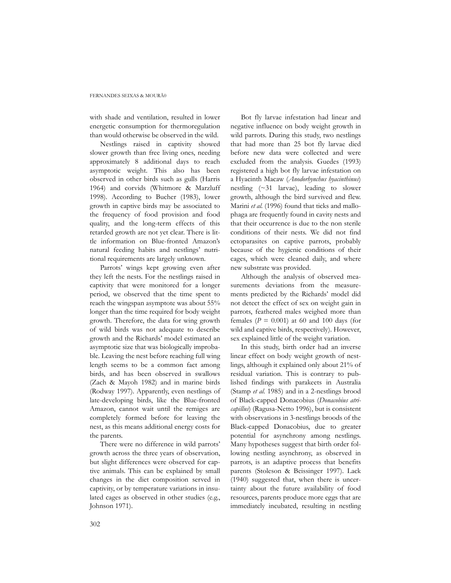with shade and ventilation, resulted in lower energetic consumption for thermoregulation than would otherwise be observed in the wild.

Nestlings raised in captivity showed slower growth than free living ones, needing approximately 8 additional days to reach asymptotic weight. This also has been observed in other birds such as gulls (Harris 1964) and corvids (Whitmore & Marzluff 1998). According to Bucher (1983), lower growth in captive birds may be associated to the frequency of food provision and food quality, and the long-term effects of this retarded growth are not yet clear. There is little information on Blue-fronted Amazon's natural feeding habits and nestlings' nutritional requirements are largely unknown.

Parrots' wings kept growing even after they left the nests. For the nestlings raised in captivity that were monitored for a longer period, we observed that the time spent to reach the wingspan asymptote was about 55% longer than the time required for body weight growth. Therefore, the data for wing growth of wild birds was not adequate to describe growth and the Richards' model estimated an asymptotic size that was biologically improbable. Leaving the nest before reaching full wing length seems to be a common fact among birds, and has been observed in swallows (Zach & Mayoh 1982) and in marine birds (Rodway 1997). Apparently, even nestlings of late-developing birds, like the Blue-fronted Amazon, cannot wait until the remiges are completely formed before for leaving the nest, as this means additional energy costs for the parents.

There were no difference in wild parrots' growth across the three years of observation, but slight differences were observed for captive animals. This can be explained by small changes in the diet composition served in captivity, or by temperature variations in insulated cages as observed in other studies (e.g., Johnson 1971).

Bot fly larvae infestation had linear and negative influence on body weight growth in wild parrots. During this study, two nestlings that had more than 25 bot fly larvae died before new data were collected and were excluded from the analysis. Guedes (1993) registered a high bot fly larvae infestation on a Hyacinth Macaw (*Anodorhynchus hyacinthinus*) nestling (~31 larvae), leading to slower growth, although the bird survived and flew. Marini *et al.* (1996) found that ticks and mallophaga are frequently found in cavity nests and that their occurrence is due to the non sterile conditions of their nests. We did not find ectoparasites on captive parrots, probably because of the hygienic conditions of their cages, which were cleaned daily, and where new substrate was provided.

Although the analysis of observed measurements deviations from the measurements predicted by the Richards' model did not detect the effect of sex on weight gain in parrots, feathered males weighed more than females  $(P = 0.001)$  at 60 and 100 days (for wild and captive birds, respectively). However, sex explained little of the weight variation.

In this study, birth order had an inverse linear effect on body weight growth of nestlings, although it explained only about 21% of residual variation. This is contrary to published findings with parakeets in Australia (Stamp *et al.* 1985) and in a 2-nestlings brood of Black-capped Donacobius (*Donacobius atricapillus*) (Ragusa-Netto 1996), but is consistent with observations in 3-nestlings broods of the Black-capped Donacobius, due to greater potential for asynchrony among nestlings. Many hypotheses suggest that birth order following nestling asynchrony, as observed in parrots, is an adaptive process that benefits parents (Stoleson & Beissinger 1997). Lack (1940) suggested that, when there is uncertainty about the future availability of food resources, parents produce more eggs that are immediately incubated, resulting in nestling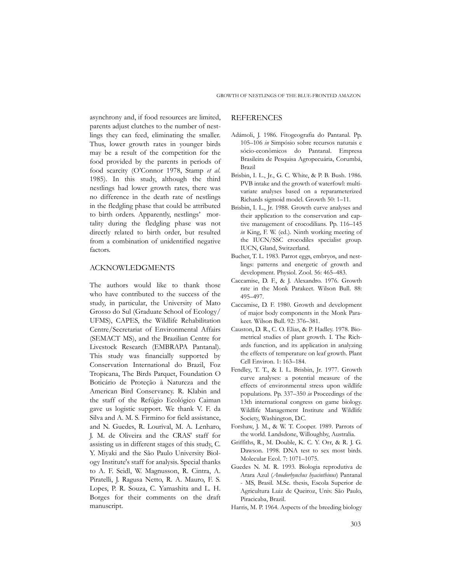asynchrony and, if food resources are limited, parents adjust clutches to the number of nestlings they can feed, eliminating the smaller. Thus, lower growth rates in younger birds may be a result of the competition for the food provided by the parents in periods of food scarcity (O'Connor 1978, Stamp *et al.* 1985). In this study, although the third nestlings had lower growth rates, there was no difference in the death rate of nestlings in the fledgling phase that could be attributed to birth orders. Apparently, nestlings' mortality during the fledgling phase was not directly related to birth order, but resulted from a combination of unidentified negative factors.

### ACKNOWLEDGMENTS

The authors would like to thank those who have contributed to the success of the study, in particular, the University of Mato Grosso do Sul (Graduate School of Ecology/ UFMS), CAPES, the Wildlife Rehabilitation Centre/Secretariat of Environmental Affairs (SEMACT MS), and the Brazilian Centre for Livestock Research (EMBRAPA Pantanal). This study was financially supported by Conservation International do Brazil, Foz Tropicana, The Birds Parquet, Foundation O Boticário de Proteção à Natureza and the American Bird Conservancy. R. Klabin and the staff of the Refúgio Ecológico Caiman gave us logistic support. We thank V. F. da Silva and A. M. S. Firmino for field assistance, and N. Guedes, R. Lourival, M. A. Lenharo, J. M. de Oliveira and the CRAS' staff for assisting us in different stages of this study, C. Y. Miyaki and the São Paulo University Biology Institute's staff for analysis. Special thanks to A. F. Seidl, W. Magnusson, R. Cintra, A. Piratelli, J. Ragusa Netto, R. A. Mauro, F. S. Lopes, P. R. Souza, C. Yamashita and L. H. Borges for their comments on the draft manuscript.

### REFERENCES

- Adámoli, J. 1986. Fitogeografia do Pantanal. Pp. 105–106 *in* Simpósio sobre recursos naturais e sócio-econômicos do Pantanal. Empresa Brasileira de Pesquisa Agropecuária, Corumbá, Brazil
- Brisbin, I. L., Jr., G. C. White, & P. B. Bush. 1986. PVB intake and the growth of waterfowl: multivariate analyses based on a reparameterized Richards sigmoid model. Growth 50: 1–11.
- Brisbin, I. L., Jr. 1988. Growth curve analyses and their application to the conservation and captive management of crocodilians. Pp. 116–145 *in* King, F. W. (ed.). Ninth working meeting of the IUCN/SSC crocodiles specialist group. IUCN, Gland, Switzerland.
- Bucher, T. L. 1983. Parrot eggs, embryos, and nestlings: patterns and energetic of growth and development. Physiol. Zool. 56: 465–483.
- Caccamise, D. F., & J. Alexandro. 1976. Growth rate in the Monk Parakeet. Wilson Bull. 88: 495–497.
- Caccamise, D. F. 1980. Growth and development of major body components in the Monk Parakeet. Wilson Bull. 92: 376–381.
- Causton, D. R., C. O. Elias, & P. Hadley. 1978. Biometrical studies of plant growth. I. The Richards function, and its application in analyzing the effects of temperature on leaf growth. Plant Cell Environ. 1: 163–184.
- Fendley, T. T., & I. L. Brisbin, Jr. 1977. Growth curve analyses: a potential measure of the effects of environmental stress upon wildlife populations. Pp. 337–350 *in* Proceedings of the 13th international congress on game biology. Wildlife Management Institute and Wildlife Society, Washington, D.C.
- Forshaw, J. M., & W. T. Cooper. 1989. Parrots of the world. Landsdone, Willoughby, Australia.
- Griffiths, R., M. Double, K. C. Y. Orr, & R. J. G. Dawson. 1998. DNA test to sex most birds. Molecular Ecol. 7: 1071–1075.
- Guedes N. M. R. 1993. Biologia reprodutiva de Arara Azul (*Anodorhynchus hyacinthinus*) Pantanal - MS, Brasil*.* M.Sc. thesis, Escola Superior de Agricultura Luiz de Queiroz, Univ. São Paulo, Piracicaba, Brazil.
- Harris, M. P. 1964. Aspects of the breeding biology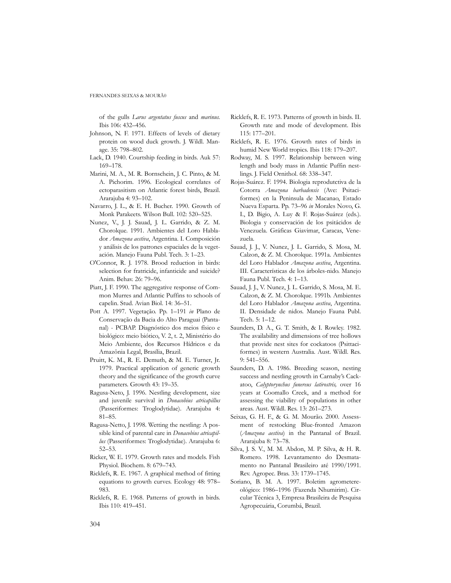of the gulls *Larus argentatus fuscus* and *marinus.* Ibis 106: 432–456.

- Johnson, N. F. 1971. Effects of levels of dietary protein on wood duck growth. J. Wildl. Manage. 35: 798–802.
- Lack, D. 1940. Courtship feeding in birds. Auk 57: 169–178.
- Marini, M. A., M. R. Bornschein, J. C. Pinto, & M. A. Pichorim. 1996. Ecological correlates of ectoparasitism on Atlantic forest birds, Brazil. Ararajuba 4: 93–102.
- Navarro, J. L., & E. H. Bucher. 1990. Growth of Monk Parakeets. Wilson Bull. 102: 520–525.
- Nunez, V., J. J. Sauad, J. L. Garrido, & Z. M. Chorolque. 1991. Ambientes del Loro Hablador *Amazona aestiva*, Argentina. I. Composición y análisis de los patrones espaciales de la vegetación. Manejo Fauna Publ. Tech. 3: 1–23.
- O'Connor, R. J. 1978. Brood reduction in birds: selection for fratricide, infanticide and suicide? Anim. Behav. 26: 79–96.
- Piatt, J. F. 1990. The aggregative response of Common Murres and Atlantic Puffins to schools of capelin. Stud. Avian Biol. 14: 36–51.
- Pott A. 1997. Vegetação. Pp. 1–191 *in* Plano de Conservação da Bacia do Alto Paraguai (Pantanal) - PCBAP. Diagnóstico dos meios físico e biológico: meio biótico, V. 2, t. 2, Ministério do Meio Ambiente, dos Recursos Hídricos e da Amazônia Legal, Brasília, Brazil.
- Pruitt, K. M., R. E. Demuth, & M. E. Turner, Jr. 1979. Practical application of generic growth theory and the significance of the growth curve parameters. Growth 43: 19–35.
- Ragusa-Neto, J. 1996. Nestling development, size and juvenile survival in *Donacobius atricapillus* (Passeriformes: Troglodytidae). Ararajuba 4: 81–85.
- Ragusa-Netto, J. 1998. Wetting the nestling: A possible kind of parental care in *Donacobius atricapillus* (Passeriformes: Troglodytidae). Ararajuba 6: 52–53.
- Ricker, W. E. 1979. Growth rates and models. Fish Physiol. Biochem. 8: 679–743.
- Ricklefs, R. E. 1967. A graphical method of fitting equations to growth curves. Ecology 48: 978– 983.
- Ricklefs, R. E. 1968. Patterns of growth in birds. Ibis 110: 419–451.
- Ricklefs, R. E. 1973. Patterns of growth in birds. II. Growth rate and mode of development. Ibis 115: 177–201.
- Ricklefs, R. E. 1976. Growth rates of birds in humid New World tropics. Ibis 118: 179–207.
- Rodway, M. S. 1997. Relationship between wing length and body mass in Atlantic Puffin nestlings. J. Field Ornithol. 68: 338–347.
- Rojas-Suárez. F. 1994. Biologia reprodutctiva de la Cotorra *Amazona barbadensis* (Ave: Psitaciformes) en la Peninsula de Macanao, Estado Nueva Esparta. Pp. 73–96 *in* Morales Novo, G. I., D. Bigio, A. Luy & F. Rojas-Suárez (eds.). Biologia y conservación de los psitácidos de Venezuela. Gráficas Giavimar, Caracas, Venezuela.
- Sauad, J. J., V. Nunez, J. L. Garrido, S. Mosa, M. Calzon, & Z. M. Chorolque. 1991a. Ambientes del Loro Hablador *Amazona aestiva*, Argentina. III. Características de los árboles-nido. Manejo Fauna Publ. Tech. 4: 1–13.
- Sauad, J. J., V. Nunez, J. L. Garrido, S. Mosa, M. E. Calzon, & Z. M. Chorolque. 1991b. Ambientes del Loro Hablador *Amazona aestiva*, Argentina. II. Densidade de nidos. Manejo Fauna Publ. Tech. 5: 1–12.
- Saunders, D. A., G. T. Smith, & I. Rowley. 1982. The availability and dimensions of tree hollows that provide nest sites for cockatoos (Psittaciformes) in western Australia. Aust. Wildl. Res. 9: 541–556.
- Saunders, D. A. 1986. Breeding season, nesting success and nestling growth in Carnaby's Cackatoo, *Calyptorynchus funereus latirostris,* over 16 years at Coomallo Creek, and a method for assessing the viability of populations in other areas. Aust. Wildl. Res. 13: 261–273.
- Seixas, G. H. F., & G. M. Mourão. 2000. Assessment of restocking Blue-fronted Amazon (*Amazona aestiva*) in the Pantanal of Brazil. Ararajuba 8: 73–78.
- Silva, J. S. V., M. M. Abdon, M. P. Silva, & H. R. Romero. 1998. Levantamento do Desmatamento no Pantanal Brasileiro até 1990/1991. Rev. Agropec. Bras. 33: 1739–1745.
- Soriano, B. M. A. 1997. Boletim agrometereológico: 1986–1996 (Fazenda Nhumirim). Circular Técnica 3, Empresa Brasileira de Pesquisa Agropecuária, Corumbá, Brazil.